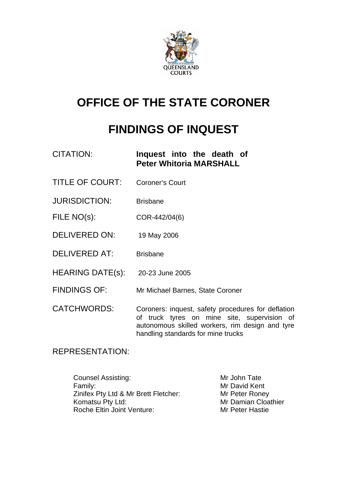

# **OFFICE OF THE STATE CORONER**

# **FINDINGS OF INQUEST**

## CITATION: **Inquest into the death of Peter Whitoria MARSHALL**

- TITLE OF COURT: Coroner's Court
- JURISDICTION: Brisbane
- FILE NO(s): COR-442/04(6)
- DELIVERED ON: 19 May 2006
- DELIVERED AT: Brisbane
- HEARING DATE(s): 20-23 June 2005
- FINDINGS OF: Mr Michael Barnes, State Coroner
- CATCHWORDS: Coroners: inquest, safety procedures for deflation of truck tyres on mine site, supervision of autonomous skilled workers, rim design and tyre handling standards for mine trucks

## REPRESENTATION:

Counsel Assisting: Mr John Tate Family: **Family: Family: Example 2018** Zinifex Pty Ltd & Mr Brett Fletcher: Mr Peter Roney Komatsu Pty Ltd: Mr Damian Cloathier Roche Eltin Joint Venture: Mr Peter Hastie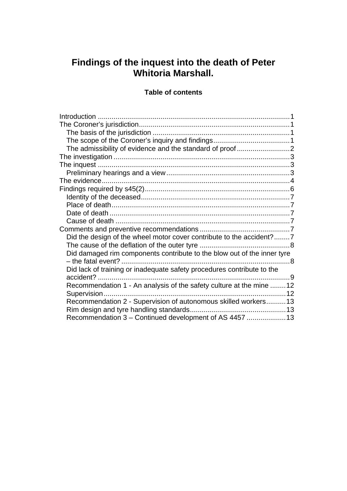## **Findings of the inquest into the death of Peter Whitoria Marshall.**

## **Table of contents**

| The evidence.                                                           |  |
|-------------------------------------------------------------------------|--|
|                                                                         |  |
|                                                                         |  |
|                                                                         |  |
|                                                                         |  |
|                                                                         |  |
|                                                                         |  |
| Did the design of the wheel motor cover contribute to the accident?7    |  |
|                                                                         |  |
| Did damaged rim components contribute to the blow out of the inner tyre |  |
|                                                                         |  |
| Did lack of training or inadequate safety procedures contribute to the  |  |
| accident?                                                               |  |
| Recommendation 1 - An analysis of the safety culture at the mine 12     |  |
|                                                                         |  |
| Recommendation 2 - Supervision of autonomous skilled workers 13         |  |
|                                                                         |  |
| Recommendation 3 - Continued development of AS 4457  13                 |  |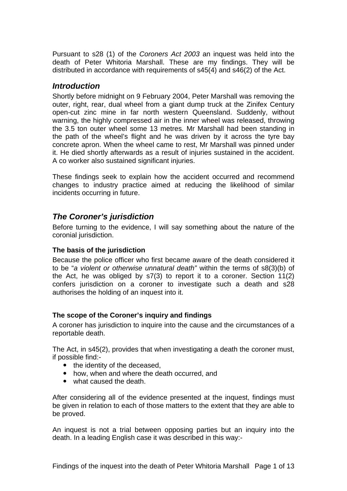<span id="page-2-0"></span>Pursuant to s28 (1) of the *Coroners Act 2003* an inquest was held into the death of Peter Whitoria Marshall. These are my findings. They will be distributed in accordance with requirements of s45(4) and s46(2) of the Act.

## *Introduction*

Shortly before midnight on 9 February 2004, Peter Marshall was removing the outer, right, rear, dual wheel from a giant dump truck at the Zinifex Century open-cut zinc mine in far north western Queensland. Suddenly, without warning, the highly compressed air in the inner wheel was released, throwing the 3.5 ton outer wheel some 13 metres. Mr Marshall had been standing in the path of the wheel's flight and he was driven by it across the tyre bay concrete apron. When the wheel came to rest, Mr Marshall was pinned under it. He died shortly afterwards as a result of injuries sustained in the accident. A co worker also sustained significant injuries.

These findings seek to explain how the accident occurred and recommend changes to industry practice aimed at reducing the likelihood of similar incidents occurring in future.

## *The Coroner's jurisdiction*

Before turning to the evidence, I will say something about the nature of the coronial jurisdiction.

## **The basis of the jurisdiction**

Because the police officer who first became aware of the death considered it to be "*a violent or otherwise unnatural death"* within the terms of s8(3)(b) of the Act, he was obliged by s7(3) to report it to a coroner. Section 11(2) confers jurisdiction on a coroner to investigate such a death and s28 authorises the holding of an inquest into it.

## **The scope of the Coroner's inquiry and findings**

A coroner has jurisdiction to inquire into the cause and the circumstances of a reportable death.

The Act, in s45(2), provides that when investigating a death the coroner must, if possible find:-

- the identity of the deceased,
- how, when and where the death occurred, and
- what caused the death.

After considering all of the evidence presented at the inquest, findings must be given in relation to each of those matters to the extent that they are able to be proved.

An inquest is not a trial between opposing parties but an inquiry into the death. In a leading English case it was described in this way:-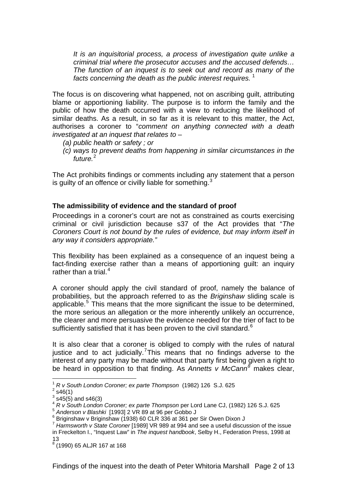<span id="page-3-0"></span>*It is an inquisitorial process, a process of investigation quite unlike a criminal trial where the prosecutor accuses and the accused defends… The function of an inquest is to seek out and record as many of the facts concerning the death as the public interest requires.* [1](#page-3-1)

The focus is on discovering what happened, not on ascribing guilt, attributing blame or apportioning liability. The purpose is to inform the family and the public of how the death occurred with a view to reducing the likelihood of similar deaths. As a result, in so far as it is relevant to this matter, the Act, authorises a coroner to "*comment on anything connected with a death investigated at an inquest that relates to* –

- *(a) public health or safety ; or*
- *(c) ways to prevent deaths from happening in similar circumstances in the future.*[2](#page-3-2)

The Act prohibits findings or comments including any statement that a person is guilty of an offence or civilly liable for something.<sup>[3](#page-3-3)</sup>

#### **The admissibility of evidence and the standard of proof**

Proceedings in a coroner's court are not as constrained as courts exercising criminal or civil jurisdiction because s37 of the Act provides that "*The Coroners Court is not bound by the rules of evidence, but may inform itself in any way it considers appropriate."*

This flexibility has been explained as a consequence of an inquest being a fact-finding exercise rather than a means of apportioning guilt: an inquiry rather than a trial. $4$ 

A coroner should apply the civil standard of proof, namely the balance of probabilities, but the approach referred to as the *Briginshaw* sliding scale is applicable.<sup>[5](#page-3-5)</sup> This means that the more significant the issue to be determined, the more serious an allegation or the more inherently unlikely an occurrence, the clearer and more persuasive the evidence needed for the trier of fact to be sufficiently satisfied that it has been proven to the civil standard. $6$ 

It is also clear that a coroner is obliged to comply with the rules of natural justice and to act judicially.<sup>[7](#page-3-7)</sup>This means that no findings adverse to the interest of any party may be made without that party first being given a right to be heard in opposition to that finding. As *Annetts v McCann[8](#page-3-8)* makes clear,

1

<sup>1</sup> *R v South London Coroner; ex parte Thompson* (1982) 126 S.J. 625 2

<span id="page-3-2"></span><span id="page-3-1"></span> $2$  s46(1)

 $3$  s45(5) and s46(3)

<span id="page-3-4"></span><span id="page-3-3"></span><sup>4</sup> *R v South London Coroner; ex parte Thompson* per Lord Lane CJ, (1982) 126 S.J. 625

<span id="page-3-5"></span><sup>5</sup> *Anderson v Blashki* [1993] 2 VR 89 at 96 per Gobbo J 6

<span id="page-3-6"></span><sup>&</sup>lt;sup>6</sup> Briginshaw v Briginshaw (1938) 60 CLR 336 at 361 per Sir Owen Dixon J

<span id="page-3-7"></span><sup>7</sup> *Harmsworth v State Coroner* [1989] VR 989 at 994 and see a useful discussion of the issue in Freckelton I., "Inquest Law" in *The inquest handbook*, Selby H., Federation Press, 1998 at 13

<span id="page-3-8"></span><sup>8</sup> (1990) 65 ALJR 167 at 168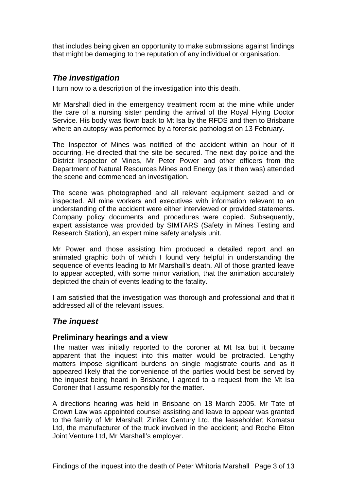<span id="page-4-0"></span>that includes being given an opportunity to make submissions against findings that might be damaging to the reputation of any individual or organisation.

## *The investigation*

I turn now to a description of the investigation into this death.

Mr Marshall died in the emergency treatment room at the mine while under the care of a nursing sister pending the arrival of the Royal Flying Doctor Service. His body was flown back to Mt Isa by the RFDS and then to Brisbane where an autopsy was performed by a forensic pathologist on 13 February.

The Inspector of Mines was notified of the accident within an hour of it occurring. He directed that the site be secured. The next day police and the District Inspector of Mines, Mr Peter Power and other officers from the Department of Natural Resources Mines and Energy (as it then was) attended the scene and commenced an investigation.

The scene was photographed and all relevant equipment seized and or inspected. All mine workers and executives with information relevant to an understanding of the accident were either interviewed or provided statements. Company policy documents and procedures were copied. Subsequently, expert assistance was provided by SIMTARS (Safety in Mines Testing and Research Station), an expert mine safety analysis unit.

Mr Power and those assisting him produced a detailed report and an animated graphic both of which I found very helpful in understanding the sequence of events leading to Mr Marshall's death. All of those granted leave to appear accepted, with some minor variation, that the animation accurately depicted the chain of events leading to the fatality.

I am satisfied that the investigation was thorough and professional and that it addressed all of the relevant issues.

## *The inquest*

## **Preliminary hearings and a view**

The matter was initially reported to the coroner at Mt Isa but it became apparent that the inquest into this matter would be protracted. Lengthy matters impose significant burdens on single magistrate courts and as it appeared likely that the convenience of the parties would best be served by the inquest being heard in Brisbane, I agreed to a request from the Mt Isa Coroner that I assume responsibly for the matter.

A directions hearing was held in Brisbane on 18 March 2005. Mr Tate of Crown Law was appointed counsel assisting and leave to appear was granted to the family of Mr Marshall; Zinifex Century Ltd, the leaseholder; Komatsu Ltd, the manufacturer of the truck involved in the accident; and Roche Elton Joint Venture Ltd, Mr Marshall's employer.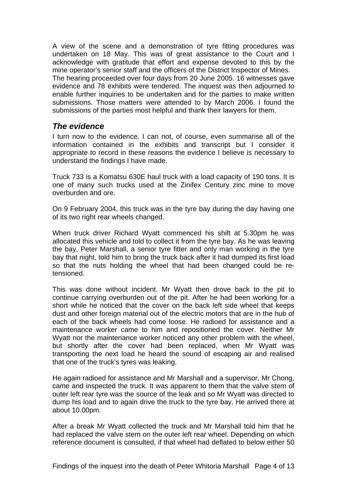<span id="page-5-0"></span>A view of the scene and a demonstration of tyre fitting procedures was undertaken on 18 May. This was of great assistance to the Court and I acknowledge with gratitude that effort and expense devoted to this by the mine operator's senior staff and the officers of the District Inspector of Mines. The hearing proceeded over four days from 20 June 2005. 16 witnesses gave evidence and 78 exhibits were tendered. The inquest was then adjourned to enable further inquiries to be undertaken and for the parties to make written submissions. Those matters were attended to by March 2006. I found the submissions of the parties most helpful and thank their lawyers for them.

## *The evidence*

I turn now to the evidence. I can not, of course, even summarise all of the information contained in the exhibits and transcript but I consider it appropriate to record in these reasons the evidence I believe is necessary to understand the findings I have made.

Truck 733 is a Komatsu 630E haul truck with a load capacity of 190 tons. It is one of many such trucks used at the Zinifex Century zinc mine to move overburden and ore.

On 9 February 2004, this truck was in the tyre bay during the day having one of its two right rear wheels changed.

When truck driver Richard Wyatt commenced his shift at 5.30pm he was allocated this vehicle and told to collect it from the tyre bay. As he was leaving the bay, Peter Marshall, a senior tyre fitter and only man working in the tyre bay that night, told him to bring the truck back after it had dumped its first load so that the nuts holding the wheel that had been changed could be retensioned.

This was done without incident. Mr Wyatt then drove back to the pit to continue carrying overburden out of the pit. After he had been working for a short while he noticed that the cover on the back left side wheel that keeps dust and other foreign material out of the electric motors that are in the hub of each of the back wheels had come loose. He radioed for assistance and a maintenance worker came to him and repositioned the cover. Neither Mr Wyatt nor the maintenance worker noticed any other problem with the wheel, but shortly after the cover had been replaced, when Mr Wyatt was transporting the next load he heard the sound of escaping air and realised that one of the truck's tyres was leaking.

He again radioed for assistance and Mr Marshall and a supervisor, Mr Chong, came and inspected the truck. It was apparent to them that the valve stem of outer left rear tyre was the source of the leak and so Mr Wyatt was directed to dump his load and to again drive the truck to the tyre bay. He arrived there at about 10.00pm.

After a break Mr Wyatt collected the truck and Mr Marshall told him that he had replaced the valve stem on the outer left rear wheel. Depending on which reference document is consulted, if that wheel had deflated to below either 50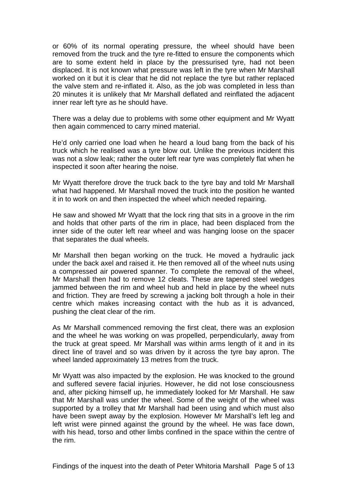or 60% of its normal operating pressure, the wheel should have been removed from the truck and the tyre re-fitted to ensure the components which are to some extent held in place by the pressurised tyre, had not been displaced. It is not known what pressure was left in the tyre when Mr Marshall worked on it but it is clear that he did not replace the tyre but rather replaced the valve stem and re-inflated it. Also, as the job was completed in less than 20 minutes it is unlikely that Mr Marshall deflated and reinflated the adjacent inner rear left tyre as he should have.

There was a delay due to problems with some other equipment and Mr Wyatt then again commenced to carry mined material.

He'd only carried one load when he heard a loud bang from the back of his truck which he realised was a tyre blow out. Unlike the previous incident this was not a slow leak; rather the outer left rear tyre was completely flat when he inspected it soon after hearing the noise.

Mr Wyatt therefore drove the truck back to the tyre bay and told Mr Marshall what had happened. Mr Marshall moved the truck into the position he wanted it in to work on and then inspected the wheel which needed repairing.

He saw and showed Mr Wyatt that the lock ring that sits in a groove in the rim and holds that other parts of the rim in place, had been displaced from the inner side of the outer left rear wheel and was hanging loose on the spacer that separates the dual wheels.

Mr Marshall then began working on the truck. He moved a hydraulic jack under the back axel and raised it. He then removed all of the wheel nuts using a compressed air powered spanner. To complete the removal of the wheel, Mr Marshall then had to remove 12 cleats. These are tapered steel wedges jammed between the rim and wheel hub and held in place by the wheel nuts and friction. They are freed by screwing a jacking bolt through a hole in their centre which makes increasing contact with the hub as it is advanced, pushing the cleat clear of the rim.

As Mr Marshall commenced removing the first cleat, there was an explosion and the wheel he was working on was propelled, perpendicularly, away from the truck at great speed. Mr Marshall was within arms length of it and in its direct line of travel and so was driven by it across the tyre bay apron. The wheel landed approximately 13 metres from the truck.

Mr Wyatt was also impacted by the explosion. He was knocked to the ground and suffered severe facial injuries. However, he did not lose consciousness and, after picking himself up, he immediately looked for Mr Marshall. He saw that Mr Marshall was under the wheel. Some of the weight of the wheel was supported by a trolley that Mr Marshall had been using and which must also have been swept away by the explosion. However Mr Marshall's left leg and left wrist were pinned against the ground by the wheel. He was face down, with his head, torso and other limbs confined in the space within the centre of the rim.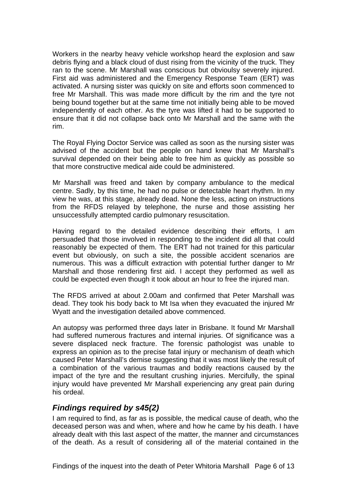<span id="page-7-0"></span>Workers in the nearby heavy vehicle workshop heard the explosion and saw debris flying and a black cloud of dust rising from the vicinity of the truck. They ran to the scene. Mr Marshall was conscious but obvioulsy severely injured. First aid was administered and the Emergency Response Team (ERT) was activated. A nursing sister was quickly on site and efforts soon commenced to free Mr Marshall. This was made more difficult by the rim and the tyre not being bound together but at the same time not initially being able to be moved independently of each other. As the tyre was lifted it had to be supported to ensure that it did not collapse back onto Mr Marshall and the same with the rim.

The Royal Flying Doctor Service was called as soon as the nursing sister was advised of the accident but the people on hand knew that Mr Marshall's survival depended on their being able to free him as quickly as possible so that more constructive medical aide could be administered.

Mr Marshall was freed and taken by company ambulance to the medical centre. Sadly, by this time, he had no pulse or detectable heart rhythm. In my view he was, at this stage, already dead. None the less, acting on instructions from the RFDS relayed by telephone, the nurse and those assisting her unsuccessfully attempted cardio pulmonary resuscitation.

Having regard to the detailed evidence describing their efforts, I am persuaded that those involved in responding to the incident did all that could reasonably be expected of them. The ERT had not trained for this particular event but obviously, on such a site, the possible accident scenarios are numerous. This was a difficult extraction with potential further danger to Mr Marshall and those rendering first aid. I accept they performed as well as could be expected even though it took about an hour to free the injured man.

The RFDS arrived at about 2.00am and confirmed that Peter Marshall was dead. They took his body back to Mt Isa when they evacuated the injured Mr Wyatt and the investigation detailed above commenced.

An autopsy was performed three days later in Brisbane. It found Mr Marshall had suffered numerous fractures and internal injuries. Of significance was a severe displaced neck fracture. The forensic pathologist was unable to express an opinion as to the precise fatal injury or mechanism of death which caused Peter Marshall's demise suggesting that it was most likely the result of a combination of the various traumas and bodily reactions caused by the impact of the tyre and the resultant crushing injuries. Mercifully, the spinal injury would have prevented Mr Marshall experiencing any great pain during his ordeal.

## *Findings required by s45(2)*

I am required to find, as far as is possible, the medical cause of death, who the deceased person was and when, where and how he came by his death. I have already dealt with this last aspect of the matter, the manner and circumstances of the death. As a result of considering all of the material contained in the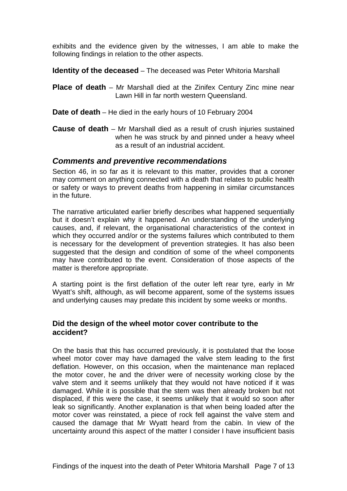<span id="page-8-0"></span>exhibits and the evidence given by the witnesses, I am able to make the following findings in relation to the other aspects.

**Identity of the deceased** – The deceased was Peter Whitoria Marshall

**Place of death** – Mr Marshall died at the Zinifex Century Zinc mine near Lawn Hill in far north western Queensland.

**Date of death** – He died in the early hours of 10 February 2004

**Cause of death** – Mr Marshall died as a result of crush injuries sustained when he was struck by and pinned under a heavy wheel as a result of an industrial accident.

## *Comments and preventive recommendations*

Section 46, in so far as it is relevant to this matter, provides that a coroner may comment on anything connected with a death that relates to public health or safety or ways to prevent deaths from happening in similar circumstances in the future.

The narrative articulated earlier briefly describes what happened sequentially but it doesn't explain why it happened. An understanding of the underlying causes, and, if relevant, the organisational characteristics of the context in which they occurred and/or or the systems failures which contributed to them is necessary for the development of prevention strategies. It has also been suggested that the design and condition of some of the wheel components may have contributed to the event. Consideration of those aspects of the matter is therefore appropriate.

A starting point is the first deflation of the outer left rear tyre, early in Mr Wyatt's shift, although, as will become apparent, some of the systems issues and underlying causes may predate this incident by some weeks or months.

## **Did the design of the wheel motor cover contribute to the accident?**

On the basis that this has occurred previously, it is postulated that the loose wheel motor cover may have damaged the valve stem leading to the first deflation. However, on this occasion, when the maintenance man replaced the motor cover, he and the driver were of necessity working close by the valve stem and it seems unlikely that they would not have noticed if it was damaged. While it is possible that the stem was then already broken but not displaced, if this were the case, it seems unlikely that it would so soon after leak so significantly. Another explanation is that when being loaded after the motor cover was reinstated, a piece of rock fell against the valve stem and caused the damage that Mr Wyatt heard from the cabin. In view of the uncertainty around this aspect of the matter I consider I have insufficient basis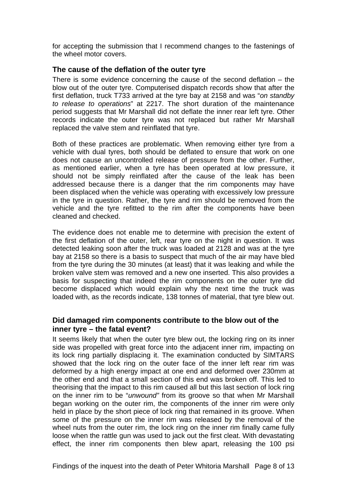<span id="page-9-0"></span>for accepting the submission that I recommend changes to the fastenings of the wheel motor covers.

#### **The cause of the deflation of the outer tyre**

There is some evidence concerning the cause of the second deflation – the blow out of the outer tyre. Computerised dispatch records show that after the first deflation, truck T733 arrived at the tyre bay at 2158 and was "*on standby to release to operations*" at 2217. The short duration of the maintenance period suggests that Mr Marshall did not deflate the inner rear left tyre. Other records indicate the outer tyre was not replaced but rather Mr Marshall replaced the valve stem and reinflated that tyre.

Both of these practices are problematic. When removing either tyre from a vehicle with dual tyres, both should be deflated to ensure that work on one does not cause an uncontrolled release of pressure from the other. Further, as mentioned earlier, when a tyre has been operated at low pressure, it should not be simply reinflated after the cause of the leak has been addressed because there is a danger that the rim components may have been displaced when the vehicle was operating with excessively low pressure in the tyre in question. Rather, the tyre and rim should be removed from the vehicle and the tyre refitted to the rim after the components have been cleaned and checked.

The evidence does not enable me to determine with precision the extent of the first deflation of the outer, left, rear tyre on the night in question. It was detected leaking soon after the truck was loaded at 2128 and was at the tyre bay at 2158 so there is a basis to suspect that much of the air may have bled from the tyre during the 30 minutes (at least) that it was leaking and while the broken valve stem was removed and a new one inserted. This also provides a basis for suspecting that indeed the rim components on the outer tyre did become displaced which would explain why the next time the truck was loaded with, as the records indicate, 138 tonnes of material, that tyre blew out.

## **Did damaged rim components contribute to the blow out of the inner tyre – the fatal event?**

It seems likely that when the outer tyre blew out, the locking ring on its inner side was propelled with great force into the adjacent inner rim, impacting on its lock ring partially displacing it. The examination conducted by SIMTARS showed that the lock ring on the outer face of the inner left rear rim was deformed by a high energy impact at one end and deformed over 230mm at the other end and that a small section of this end was broken off. This led to theorising that the impact to this rim caused all but this last section of lock ring on the inner rim to be "*unwound"* from its groove so that when Mr Marshall began working on the outer rim, the components of the inner rim were only held in place by the short piece of lock ring that remained in its groove. When some of the pressure on the inner rim was released by the removal of the wheel nuts from the outer rim, the lock ring on the inner rim finally came fully loose when the rattle gun was used to jack out the first cleat. With devastating effect, the inner rim components then blew apart, releasing the 100 psi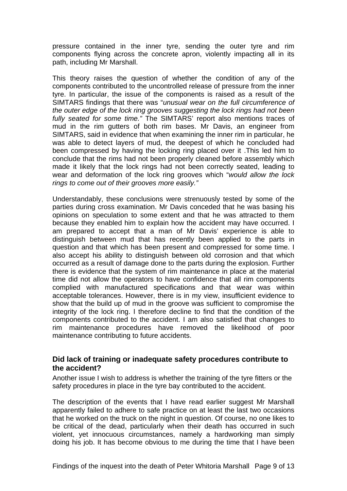<span id="page-10-0"></span>pressure contained in the inner tyre, sending the outer tyre and rim components flying across the concrete apron, violently impacting all in its path, including Mr Marshall.

This theory raises the question of whether the condition of any of the components contributed to the uncontrolled release of pressure from the inner tyre. In particular, the issue of the components is raised as a result of the SIMTARS findings that there was "*unusual wear on the full circumference of the outer edge of the lock ring grooves suggesting the lock rings had not been fully seated for some time."* The SIMTARS' report also mentions traces of mud in the rim gutters of both rim bases. Mr Davis, an engineer from SIMTARS, said in evidence that when examining the inner rim in particular, he was able to detect layers of mud, the deepest of which he concluded had been compressed by having the locking ring placed over it .This led him to conclude that the rims had not been properly cleaned before assembly which made it likely that the lock rings had not been correctly seated, leading to wear and deformation of the lock ring grooves which "*would allow the lock rings to come out of their grooves more easily."* 

Understandably, these conclusions were strenuously tested by some of the parties during cross examination. Mr Davis conceded that he was basing his opinions on speculation to some extent and that he was attracted to them because they enabled him to explain how the accident may have occurred. I am prepared to accept that a man of Mr Davis' experience is able to distinguish between mud that has recently been applied to the parts in question and that which has been present and compressed for some time. I also accept his ability to distinguish between old corrosion and that which occurred as a result of damage done to the parts during the explosion. Further there is evidence that the system of rim maintenance in place at the material time did not allow the operators to have confidence that all rim components complied with manufactured specifications and that wear was within acceptable tolerances. However, there is in my view, insufficient evidence to show that the build up of mud in the groove was sufficient to compromise the integrity of the lock ring. I therefore decline to find that the condition of the components contributed to the accident. I am also satisfied that changes to rim maintenance procedures have removed the likelihood of poor maintenance contributing to future accidents.

#### **Did lack of training or inadequate safety procedures contribute to the accident?**

Another issue I wish to address is whether the training of the tyre fitters or the safety procedures in place in the tyre bay contributed to the accident.

The description of the events that I have read earlier suggest Mr Marshall apparently failed to adhere to safe practice on at least the last two occasions that he worked on the truck on the night in question. Of course, no one likes to be critical of the dead, particularly when their death has occurred in such violent, yet innocuous circumstances, namely a hardworking man simply doing his job. It has become obvious to me during the time that I have been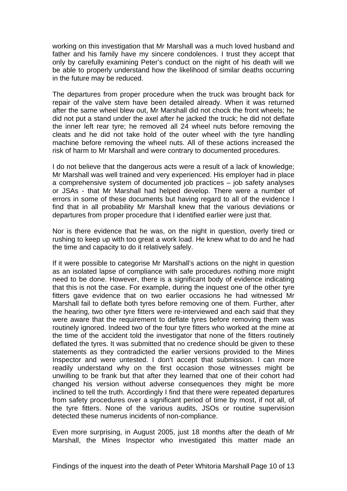working on this investigation that Mr Marshall was a much loved husband and father and his family have my sincere condolences. I trust they accept that only by carefully examining Peter's conduct on the night of his death will we be able to properly understand how the likelihood of similar deaths occurring in the future may be reduced.

The departures from proper procedure when the truck was brought back for repair of the valve stem have been detailed already. When it was returned after the same wheel blew out, Mr Marshall did not chock the front wheels; he did not put a stand under the axel after he jacked the truck; he did not deflate the inner left rear tyre; he removed all 24 wheel nuts before removing the cleats and he did not take hold of the outer wheel with the tyre handling machine before removing the wheel nuts. All of these actions increased the risk of harm to Mr Marshall and were contrary to documented procedures.

I do not believe that the dangerous acts were a result of a lack of knowledge; Mr Marshall was well trained and very experienced. His employer had in place a comprehensive system of documented job practices – job safety analyses or JSAs - that Mr Marshall had helped develop. There were a number of errors in some of these documents but having regard to all of the evidence I find that in all probability Mr Marshall knew that the various deviations or departures from proper procedure that I identified earlier were just that.

Nor is there evidence that he was, on the night in question, overly tired or rushing to keep up with too great a work load. He knew what to do and he had the time and capacity to do it relatively safely.

If it were possible to categorise Mr Marshall's actions on the night in question as an isolated lapse of compliance with safe procedures nothing more might need to be done. However, there is a significant body of evidence indicating that this is not the case. For example, during the inquest one of the other tyre fitters gave evidence that on two earlier occasions he had witnessed Mr Marshall fail to deflate both tyres before removing one of them. Further, after the hearing, two other tyre fitters were re-interviewed and each said that they were aware that the requirement to deflate tyres before removing them was routinely ignored. Indeed two of the four tyre fitters who worked at the mine at the time of the accident told the investigator that none of the fitters routinely deflated the tyres. It was submitted that no credence should be given to these statements as they contradicted the earlier versions provided to the Mines Inspector and were untested. I don't accept that submission. I can more readily understand why on the first occasion those witnesses might be unwilling to be frank but that after they learned that one of their cohort had changed his version without adverse consequences they might be more inclined to tell the truth. Accordingly I find that there were repeated departures from safety procedures over a significant period of time by most, if not all, of the tyre fitters. None of the various audits, JSOs or routine supervision detected these numerus incidents of non-compliance.

Even more surprising, in August 2005, just 18 months after the death of Mr Marshall, the Mines Inspector who investigated this matter made an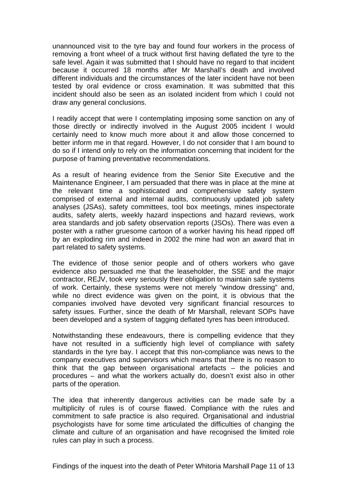unannounced visit to the tyre bay and found four workers in the process of removing a front wheel of a truck without first having deflated the tyre to the safe level. Again it was submitted that I should have no regard to that incident because it occurred 18 months after Mr Marshall's death and involved different individuals and the circumstances of the later incident have not been tested by oral evidence or cross examination. It was submitted that this incident should also be seen as an isolated incident from which I could not draw any general conclusions.

I readily accept that were I contemplating imposing some sanction on any of those directly or indirectly involved in the August 2005 incident I would certainly need to know much more about it and allow those concerned to better inform me in that regard. However, I do not consider that I am bound to do so if I intend only to rely on the information concerning that incident for the purpose of framing preventative recommendations.

As a result of hearing evidence from the Senior Site Executive and the Maintenance Engineer, I am persuaded that there was in place at the mine at the relevant time a sophisticated and comprehensive safety system comprised of external and internal audits, continuously updated job safety analyses (JSAs), safety committees, tool box meetings, mines inspectorate audits, safety alerts, weekly hazard inspections and hazard reviews, work area standards and job safety observation reports (JSOs). There was even a poster with a rather gruesome cartoon of a worker having his head ripped off by an exploding rim and indeed in 2002 the mine had won an award that in part related to safety systems.

The evidence of those senior people and of others workers who gave evidence also persuaded me that the leaseholder, the SSE and the major contractor, REJV, took very seriously their obligation to maintain safe systems of work. Certainly, these systems were not merely "window dressing" and, while no direct evidence was given on the point, it is obvious that the companies involved have devoted very significant financial resources to safety issues. Further, since the death of Mr Marshall, relevant SOPs have been developed and a system of tagging deflated tyres has been introduced.

Notwithstanding these endeavours, there is compelling evidence that they have not resulted in a sufficiently high level of compliance with safety standards in the tyre bay. I accept that this non-compliance was news to the company executives and supervisors which means that there is no reason to think that the gap between organisational artefacts – the policies and procedures – and what the workers actually do, doesn't exist also in other parts of the operation.

The idea that inherently dangerous activities can be made safe by a multiplicity of rules is of course flawed. Compliance with the rules and commitment to safe practice is also required. Organisational and industrial psychologists have for some time articulated the difficulties of changing the climate and culture of an organisation and have recognised the limited role rules can play in such a process.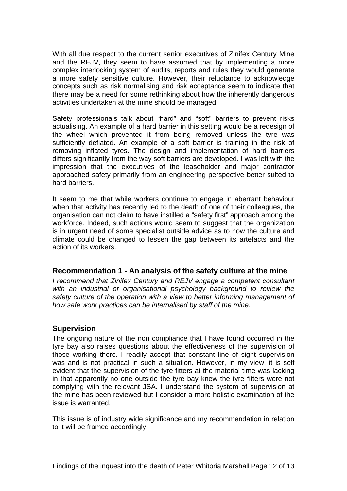<span id="page-13-0"></span>With all due respect to the current senior executives of Zinifex Century Mine and the REJV, they seem to have assumed that by implementing a more complex interlocking system of audits, reports and rules they would generate a more safety sensitive culture. However, their reluctance to acknowledge concepts such as risk normalising and risk acceptance seem to indicate that there may be a need for some rethinking about how the inherently dangerous activities undertaken at the mine should be managed.

Safety professionals talk about "hard" and "soft" barriers to prevent risks actualising. An example of a hard barrier in this setting would be a redesign of the wheel which prevented it from being removed unless the tyre was sufficiently deflated. An example of a soft barrier is training in the risk of removing inflated tyres. The design and implementation of hard barriers differs significantly from the way soft barriers are developed. I was left with the impression that the executives of the leaseholder and major contractor approached safety primarily from an engineering perspective better suited to hard barriers.

It seem to me that while workers continue to engage in aberrant behaviour when that activity has recently led to the death of one of their colleagues, the organisation can not claim to have instilled a "safety first" approach among the workforce. Indeed, such actions would seem to suggest that the organization is in urgent need of some specialist outside advice as to how the culture and climate could be changed to lessen the gap between its artefacts and the action of its workers.

## **Recommendation 1 - An analysis of the safety culture at the mine**

*I recommend that Zinifex Century and REJV engage a competent consultant*  with an industrial or organisational psychology background to review the *safety culture of the operation with a view to better informing management of how safe work practices can be internalised by staff of the mine.* 

## **Supervision**

The ongoing nature of the non compliance that I have found occurred in the tyre bay also raises questions about the effectiveness of the supervision of those working there. I readily accept that constant line of sight supervision was and is not practical in such a situation. However, in my view, it is self evident that the supervision of the tyre fitters at the material time was lacking in that apparently no one outside the tyre bay knew the tyre fitters were not complying with the relevant JSA. I understand the system of supervision at the mine has been reviewed but I consider a more holistic examination of the issue is warranted.

This issue is of industry wide significance and my recommendation in relation to it will be framed accordingly.